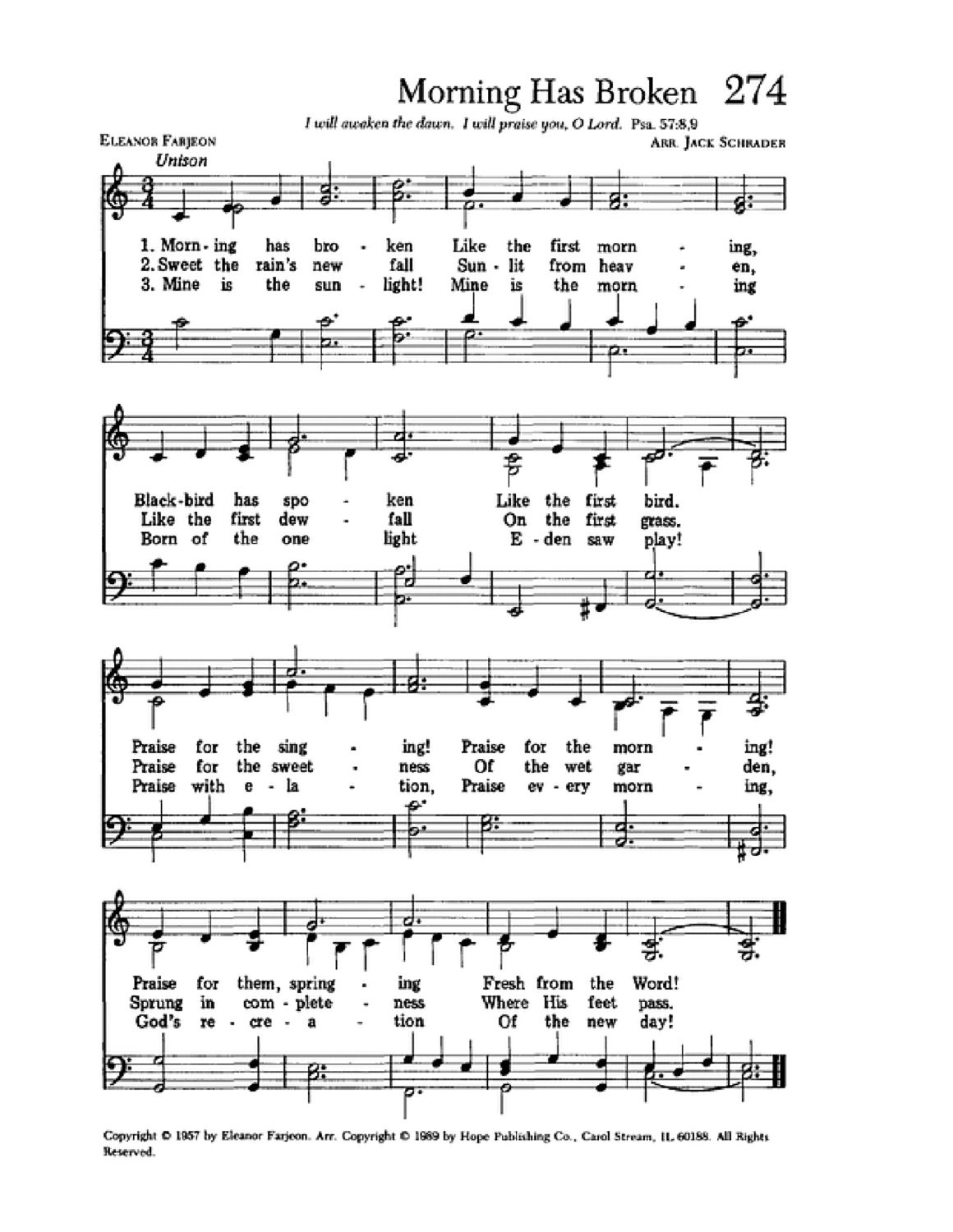## Morning Has Broken 274



Copyright @ 1957 by Eleanor Farjeon. Arr. Copyright @ 1969 by Hope Publishing Co., Carol Stream, IL 60188. All Rights Reserved.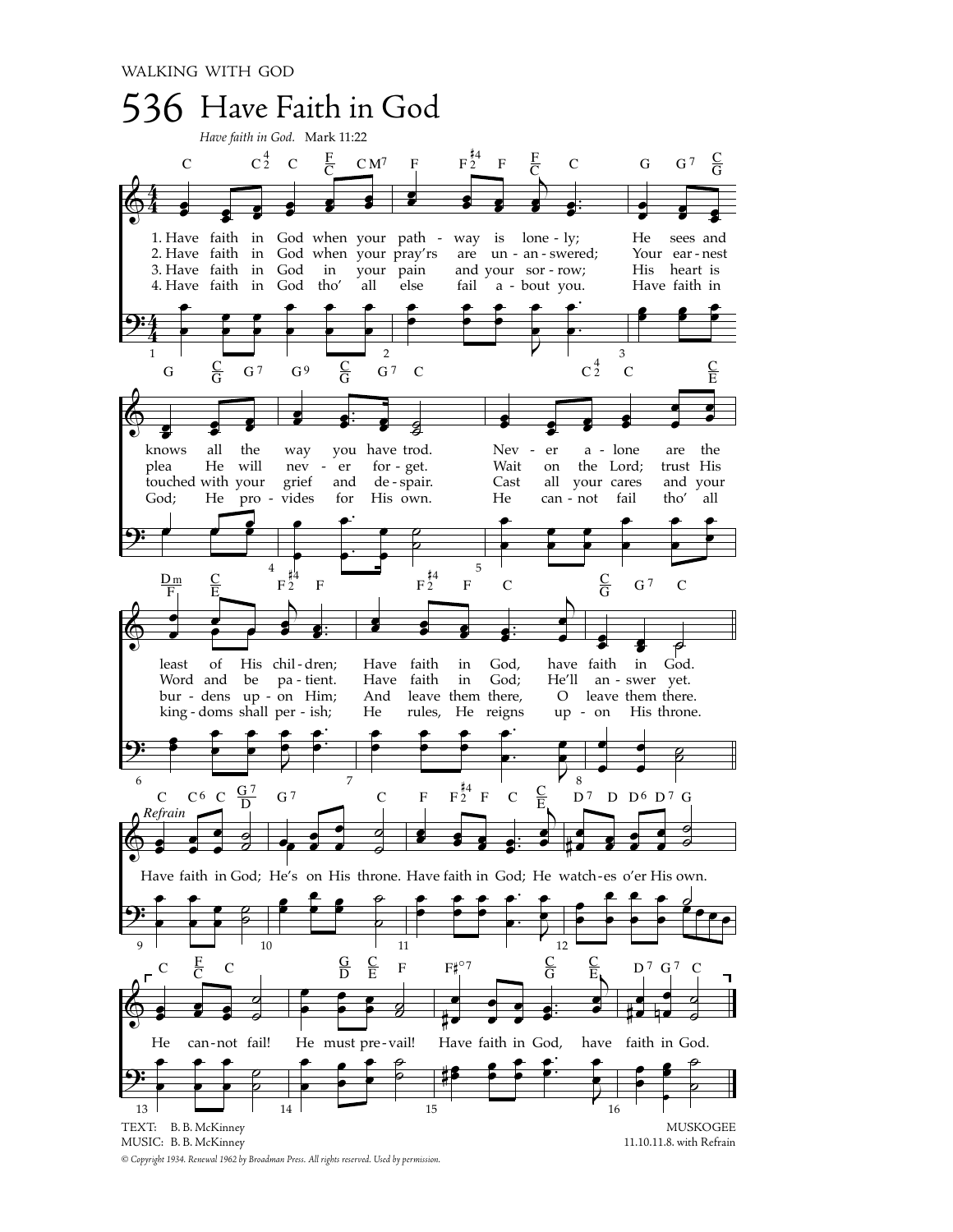

*© Copyright 1934. Renewal 1962 by Broadman Press. All rights reserved. Used by permission.*